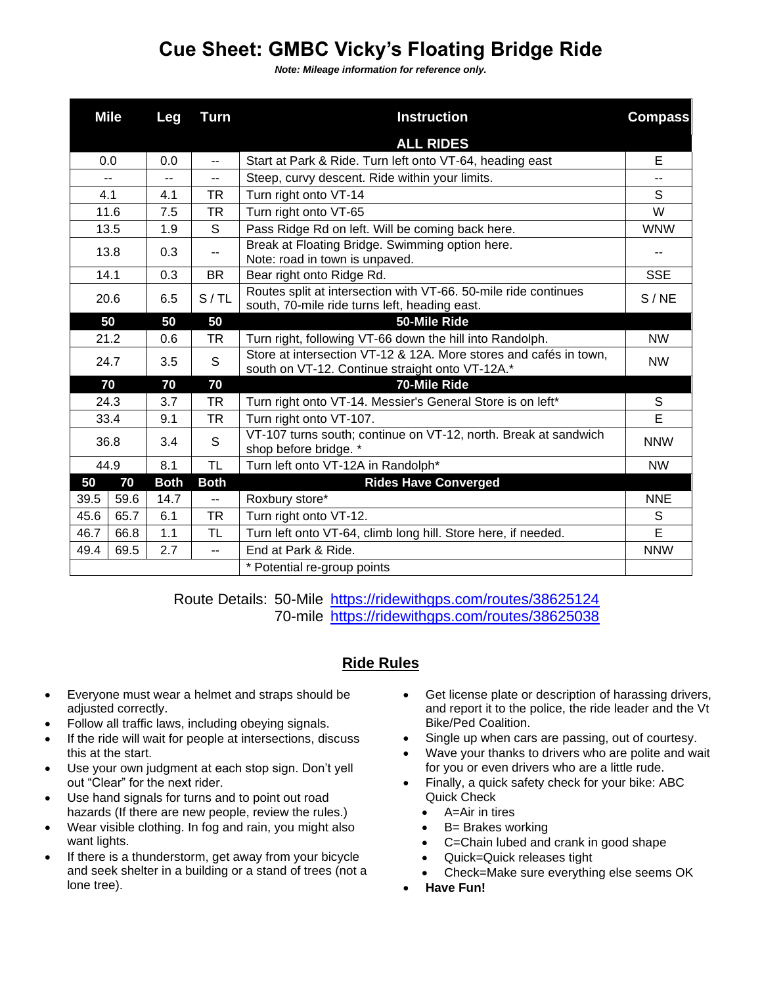## **Cue Sheet: GMBC Vicky's Floating Bridge Ride**

*Note: Mileage information for reference only.*

|      | <b>Mile</b> | Leg         | <b>Turn</b>              | <b>Instruction</b>                                                                                                   | <b>Compass</b>          |
|------|-------------|-------------|--------------------------|----------------------------------------------------------------------------------------------------------------------|-------------------------|
|      |             |             |                          | <b>ALL RIDES</b>                                                                                                     |                         |
|      | 0.0         | 0.0         | $\overline{\phantom{a}}$ | Start at Park & Ride. Turn left onto VT-64, heading east                                                             | E                       |
|      | $- -$       | --          | $\qquad \qquad -$        | Steep, curvy descent. Ride within your limits.                                                                       | --                      |
|      | 4.1         | 4.1         | <b>TR</b>                | Turn right onto VT-14                                                                                                | S                       |
|      | 11.6        | 7.5         | <b>TR</b>                | Turn right onto VT-65                                                                                                | W                       |
|      | 13.5        | 1.9         | S                        | Pass Ridge Rd on left. Will be coming back here.                                                                     | <b>WNW</b>              |
| 13.8 |             | 0.3         | $- -$                    | Break at Floating Bridge. Swimming option here.<br>Note: road in town is unpaved.                                    | --                      |
|      | 14.1        | 0.3         | BR.                      | Bear right onto Ridge Rd.                                                                                            | <b>SSE</b>              |
|      | 20.6        | 6.5         | S/TL                     | Routes split at intersection with VT-66. 50-mile ride continues<br>south, 70-mile ride turns left, heading east.     | S/NE                    |
| 50   |             | 50          | 50                       | 50-Mile Ride                                                                                                         |                         |
|      | 21.2        | 0.6         | <b>TR</b>                | Turn right, following VT-66 down the hill into Randolph.                                                             | <b>NW</b>               |
| 24.7 |             | 3.5         | S                        | Store at intersection VT-12 & 12A. More stores and cafés in town,<br>south on VT-12. Continue straight onto VT-12A.* | <b>NW</b>               |
| 70   |             | 70          | 70                       | 70-Mile Ride                                                                                                         |                         |
| 24.3 |             | 3.7         | <b>TR</b>                | Turn right onto VT-14. Messier's General Store is on left*                                                           | S                       |
| 33.4 |             | 9.1         | <b>TR</b>                | Turn right onto VT-107.                                                                                              | $\overline{\mathsf{E}}$ |
| 36.8 |             | 3.4         | S                        | VT-107 turns south; continue on VT-12, north. Break at sandwich<br>shop before bridge. *                             | <b>NNW</b>              |
| 44.9 |             | 8.1         | <b>TL</b>                | Turn left onto VT-12A in Randolph*                                                                                   | <b>NW</b>               |
| 50   | 70          | <b>Both</b> | <b>Both</b>              | <b>Rides Have Converged</b>                                                                                          |                         |
| 39.5 | 59.6        | 14.7        | $\overline{a}$           | Roxbury store*                                                                                                       | <b>NNE</b>              |
| 45.6 | 65.7        | 6.1         | <b>TR</b>                | Turn right onto VT-12.                                                                                               | S                       |
| 46.7 | 66.8        | 1.1         | TL                       | Turn left onto VT-64, climb long hill. Store here, if needed.                                                        | E                       |
| 49.4 | 69.5        | 2.7         | --                       | End at Park & Ride.                                                                                                  | <b>NNW</b>              |
|      |             |             |                          | * Potential re-group points                                                                                          |                         |

Route Details: 50-Mile<https://ridewithgps.com/routes/38625124> 70-mile <https://ridewithgps.com/routes/38625038>

## **Ride Rules**

- Everyone must wear a helmet and straps should be adjusted correctly.
- Follow all traffic laws, including obeying signals.
- If the ride will wait for people at intersections, discuss this at the start.
- Use your own judgment at each stop sign. Don't yell out "Clear" for the next rider.
- Use hand signals for turns and to point out road hazards (If there are new people, review the rules.)
- Wear visible clothing. In fog and rain, you might also want lights.
- If there is a thunderstorm, get away from your bicycle and seek shelter in a building or a stand of trees (not a lone tree).
- Get license plate or description of harassing drivers, and report it to the police, the ride leader and the Vt Bike/Ped Coalition.
- Single up when cars are passing, out of courtesy.
- Wave your thanks to drivers who are polite and wait for you or even drivers who are a little rude.
- Finally, a quick safety check for your bike: ABC Quick Check
	- $\bullet$  A=Air in tires
	- B= Brakes working
	- C=Chain lubed and crank in good shape
	- Quick=Quick releases tight
	- Check=Make sure everything else seems OK
- **Have Fun!**